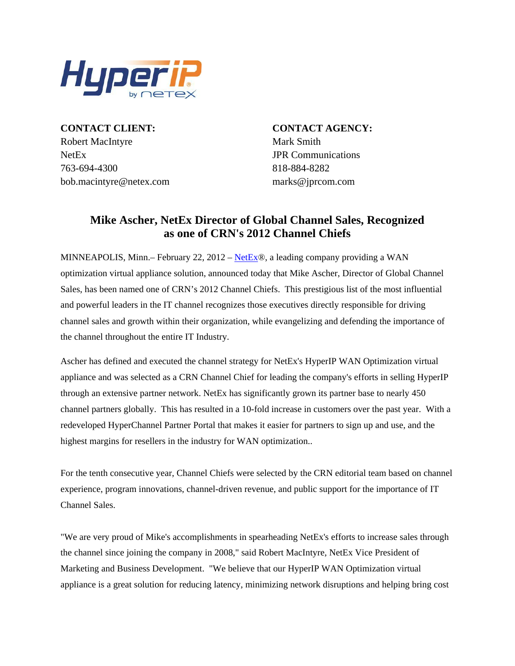

**CONTACT CLIENT: CONTACT AGENCY:** Robert MacIntyre Mark Smith NetEx JPR Communications 763-694-4300 818-884-8282 bob.macintyre@netex.com marks@jprcom.com

## **Mike Ascher, NetEx Director of Global Channel Sales, Recognized as one of CRN's 2012 Channel Chiefs**

MINNEAPOLIS, Minn.– February 22, 2012 – [NetEx®](http://www.netex.com/), a leading company providing a WAN optimization virtual appliance solution, announced today that Mike Ascher, Director of Global Channel Sales, has been named one of CRN's 2012 Channel Chiefs. This prestigious list of the most influential and powerful leaders in the IT channel recognizes those executives directly responsible for driving channel sales and growth within their organization, while evangelizing and defending the importance of the channel throughout the entire IT Industry.

Ascher has defined and executed the channel strategy for NetEx's HyperIP WAN Optimization virtual appliance and was selected as a CRN Channel Chief for leading the company's efforts in selling HyperIP through an extensive partner network. NetEx has significantly grown its partner base to nearly 450 channel partners globally. This has resulted in a 10-fold increase in customers over the past year. With a redeveloped HyperChannel Partner Portal that makes it easier for partners to sign up and use, and the highest margins for resellers in the industry for WAN optimization..

For the tenth consecutive year, Channel Chiefs were selected by the CRN editorial team based on channel experience, program innovations, channel-driven revenue, and public support for the importance of IT Channel Sales.

"We are very proud of Mike's accomplishments in spearheading NetEx's efforts to increase sales through the channel since joining the company in 2008," said Robert MacIntyre, NetEx Vice President of Marketing and Business Development. "We believe that our HyperIP WAN Optimization virtual appliance is a great solution for reducing latency, minimizing network disruptions and helping bring cost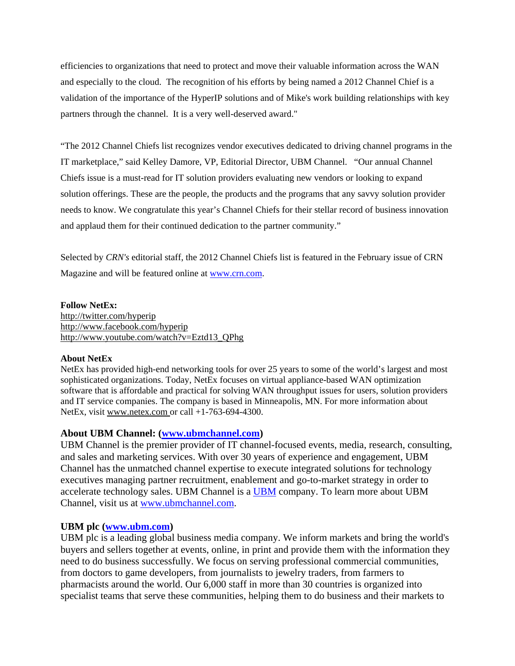efficiencies to organizations that need to protect and move their valuable information across the WAN and especially to the cloud. The recognition of his efforts by being named a 2012 Channel Chief is a validation of the importance of the HyperIP solutions and of Mike's work building relationships with key partners through the channel. It is a very well-deserved award."

"The 2012 Channel Chiefs list recognizes vendor executives dedicated to driving channel programs in the IT marketplace," said Kelley Damore, VP, Editorial Director, UBM Channel. "Our annual Channel Chiefs issue is a must-read for IT solution providers evaluating new vendors or looking to expand solution offerings. These are the people, the products and the programs that any savvy solution provider needs to know. We congratulate this year's Channel Chiefs for their stellar record of business innovation and applaud them for their continued dedication to the partner community."

Selected by *CRN's* editorial staff, the 2012 Channel Chiefs list is featured in the February issue of CRN Magazine and will be featured online at [www.crn.com.](http://www.crn.com/)

**Follow NetEx:**  http://twitter.com/hyperip http://www.facebook.com/hyperip http://www.youtube.com/watch?v=Eztd13\_QPhg

## **About NetEx**

NetEx has provided high-end networking tools for over 25 years to some of the world's largest and most sophisticated organizations. Today, NetEx focuses on virtual appliance-based WAN optimization software that is affordable and practical for solving WAN throughput issues for users, solution providers and IT service companies. The company is based in Minneapolis, MN. For more information about NetEx, visit www.netex.com or call +1-763-694-4300.

## **About UBM Channel: [\(www.ubmchannel.com](http://www.ubmchannel.com/))**

UBM Channel is the premier provider of IT channel-focused events, media, research, consulting, and sales and marketing services. With over 30 years of experience and engagement, UBM Channel has the unmatched channel expertise to execute integrated solutions for technology executives managing partner recruitment, enablement and go-to-market strategy in order to accelerate technology sales. UBM Channel is a [UBM](http://www.ubm.com/) company. To learn more about UBM Channel, visit us at [www.ubmchannel.com](http://www.ubmchannel.com/).

## **UBM plc [\(www.ubm.com](http://www.ubm.com/))**

UBM plc is a leading global business media company. We inform markets and bring the world's buyers and sellers together at events, online, in print and provide them with the information they need to do business successfully. We focus on serving professional commercial communities, from doctors to game developers, from journalists to jewelry traders, from farmers to pharmacists around the world. Our 6,000 staff in more than 30 countries is organized into specialist teams that serve these communities, helping them to do business and their markets to